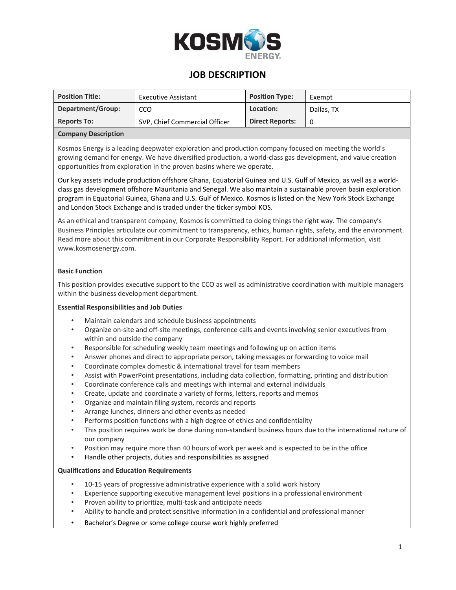

## **JOB DESCRIPTION**

| <b>Position Title:</b>     | <b>Executive Assistant</b>    | <b>Position Type:</b>  | Exempt     |
|----------------------------|-------------------------------|------------------------|------------|
| Department/Group:          | CCO                           | Location:              | Dallas, TX |
| <b>Reports To:</b>         | SVP, Chief Commercial Officer | <b>Direct Reports:</b> |            |
| <b>Company Description</b> |                               |                        |            |

Kosmos Energy is a leading deepwater exploration and production company focused on meeting the world's growing demand for energy. We have diversified production, a world-class gas development, and value creation opportunities from exploration in the proven basins where we operate.

Our key assets include production offshore Ghana, Equatorial Guinea and U.S. Gulf of Mexico, as well as a worldclass gas development offshore Mauritania and Senegal. We also maintain a sustainable proven basin exploration program in Equatorial Guinea, Ghana and U.S. Gulf of Mexico. Kosmos is listed on the New York Stock Exchange and London Stock Exchange and is traded under the ticker symbol KOS.

As an ethical and transparent company, Kosmos is committed to doing things the right way. The company's Business Principles articulate our commitment to transparency, ethics, human rights, safety, and the environment. Read more about this commitment in our Corporate Responsibility Report. For additional information, visit www.kosmosenergy.com.

### **Basic Function**

This position provides executive support to the CCO as well as administrative coordination with multiple managers within the business development department.

### **Essential Responsibilities and Job Duties**

- Maintain calendars and schedule business appointments
- Organize on-site and off-site meetings, conference calls and events involving senior executives from within and outside the company
- Responsible for scheduling weekly team meetings and following up on action items
- Answer phones and direct to appropriate person, taking messages or forwarding to voice mail
- Coordinate complex domestic & international travel for team members
- Assist with PowerPoint presentations, including data collection, formatting, printing and distribution
- Coordinate conference calls and meetings with internal and external individuals
- Create, update and coordinate a variety of forms, letters, reports and memos
- Organize and maintain filing system, records and reports
- Arrange lunches, dinners and other events as needed
- Performs position functions with a high degree of ethics and confidentiality
- This position requires work be done during non-standard business hours due to the international nature of our company
- Position may require more than 40 hours of work per week and is expected to be in the office
- Handle other projects, duties and responsibilities as assigned

### **Qualifications and Education Requirements**

- 10-15 years of progressive administrative experience with a solid work history
- Experience supporting executive management level positions in a professional environment
- Proven ability to prioritize, multi-task and anticipate needs
- Ability to handle and protect sensitive information in a confidential and professional manner
- Bachelor's Degree or some college course work highly preferred